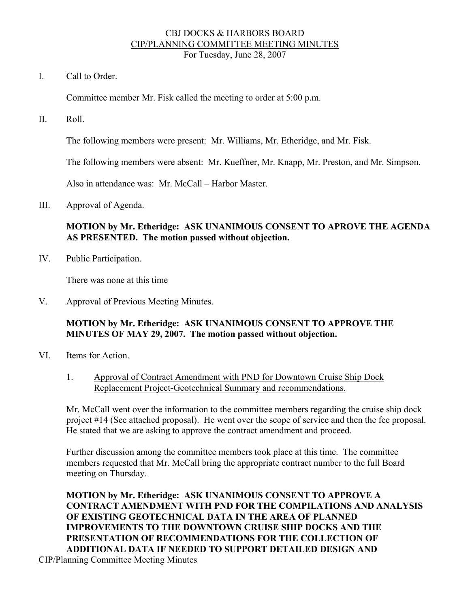#### CBJ DOCKS & HARBORS BOARD CIP/PLANNING COMMITTEE MEETING MINUTES For Tuesday, June 28, 2007

I. Call to Order.

Committee member Mr. Fisk called the meeting to order at 5:00 p.m.

II. Roll.

The following members were present: Mr. Williams, Mr. Etheridge, and Mr. Fisk.

The following members were absent: Mr. Kueffner, Mr. Knapp, Mr. Preston, and Mr. Simpson.

Also in attendance was: Mr. McCall – Harbor Master.

III. Approval of Agenda.

## **MOTION by Mr. Etheridge: ASK UNANIMOUS CONSENT TO APROVE THE AGENDA AS PRESENTED. The motion passed without objection.**

IV. Public Participation.

There was none at this time

V. Approval of Previous Meeting Minutes.

## **MOTION by Mr. Etheridge: ASK UNANIMOUS CONSENT TO APPROVE THE MINUTES OF MAY 29, 2007. The motion passed without objection.**

- VI. Items for Action.
	- 1. Approval of Contract Amendment with PND for Downtown Cruise Ship Dock Replacement Project-Geotechnical Summary and recommendations.

Mr. McCall went over the information to the committee members regarding the cruise ship dock project #14 (See attached proposal). He went over the scope of service and then the fee proposal. He stated that we are asking to approve the contract amendment and proceed.

Further discussion among the committee members took place at this time. The committee members requested that Mr. McCall bring the appropriate contract number to the full Board meeting on Thursday.

**MOTION by Mr. Etheridge: ASK UNANIMOUS CONSENT TO APPROVE A CONTRACT AMENDMENT WITH PND FOR THE COMPILATIONS AND ANALYSIS OF EXISTING GEOTECHNICAL DATA IN THE AREA OF PLANNED IMPROVEMENTS TO THE DOWNTOWN CRUISE SHIP DOCKS AND THE PRESENTATION OF RECOMMENDATIONS FOR THE COLLECTION OF ADDITIONAL DATA IF NEEDED TO SUPPORT DETAILED DESIGN AND**  CIP/Planning Committee Meeting Minutes